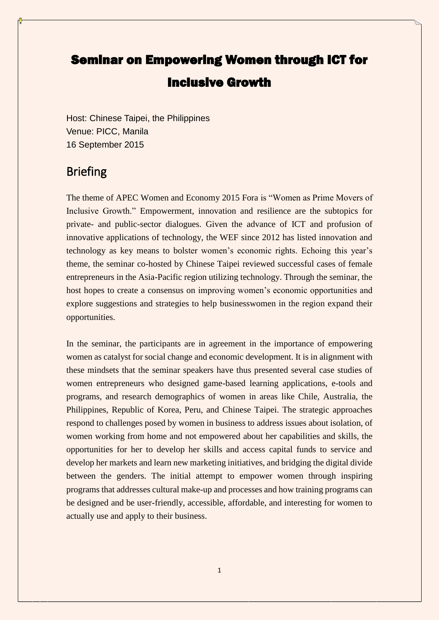# Seminar on Empowering Women through ICT for Inclusive Growth

Host: Chinese Taipei, the Philippines Venue: PICC, Manila 16 September 2015

## **Briefing**

The theme of APEC Women and Economy 2015 Fora is "Women as Prime Movers of Inclusive Growth." Empowerment, innovation and resilience are the subtopics for private- and public-sector dialogues. Given the advance of ICT and profusion of innovative applications of technology, the WEF since 2012 has listed innovation and technology as key means to bolster women's economic rights. Echoing this year's theme, the seminar co-hosted by Chinese Taipei reviewed successful cases of female entrepreneurs in the Asia-Pacific region utilizing technology. Through the seminar, the host hopes to create a consensus on improving women's economic opportunities and explore suggestions and strategies to help businesswomen in the region expand their opportunities.

In the seminar, the participants are in agreement in the importance of empowering women as catalyst for social change and economic development. It is in alignment with these mindsets that the seminar speakers have thus presented several case studies of women entrepreneurs who designed game-based learning applications, e-tools and programs, and research demographics of women in areas like Chile, Australia, the Philippines, Republic of Korea, Peru, and Chinese Taipei. The strategic approaches respond to challenges posed by women in business to address issues about isolation, of women working from home and not empowered about her capabilities and skills, the opportunities for her to develop her skills and access capital funds to service and develop her markets and learn new marketing initiatives, and bridging the digital divide between the genders. The initial attempt to empower women through inspiring programs that addresses cultural make-up and processes and how training programs can be designed and be user-friendly, accessible, affordable, and interesting for women to actually use and apply to their business.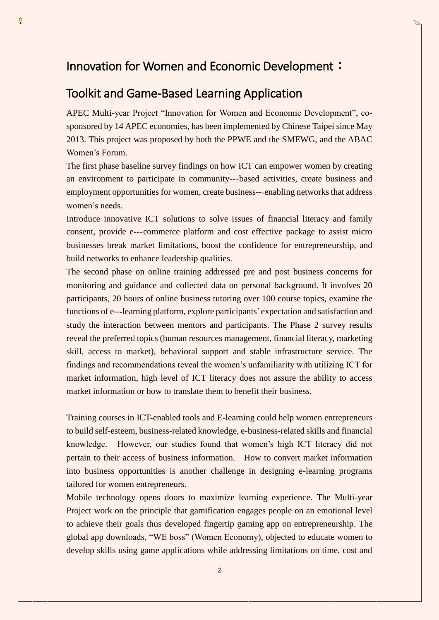### Innovation for Women and Economic Development:

### Toolkit and Game-Based Learning Application

APEC Multi-year Project "Innovation for Women and Economic Development", cosponsored by 14 APEC economies, has been implemented by Chinese Taipei since May 2013. This project was proposed by both the PPWE and the SMEWG, and the ABAC Women's Forum.

The first phase baseline survey findings on how ICT can empower women by creating an environment to participate in community--‐based activities, create business and employment opportunities for women, create business---enabling networks that address women's needs.

Introduce innovative ICT solutions to solve issues of financial literacy and family consent, provide e--‐commerce platform and cost effective package to assist micro businesses break market limitations, boost the confidence for entrepreneurship, and build networks to enhance leadership qualities.

The second phase on online training addressed pre and post business concerns for monitoring and guidance and collected data on personal background. It involves 20 participants, 20 hours of online business tutoring over 100 course topics, examine the functions of e---learning platform, explore participants' expectation and satisfaction and study the interaction between mentors and participants. The Phase 2 survey results reveal the preferred topics (human resources management, financial literacy, marketing skill, access to market), behavioral support and stable infrastructure service. The findings and recommendations reveal the women's unfamiliarity with utilizing ICT for market information, high level of ICT literacy does not assure the ability to access market information or how to translate them to benefit their business.

Training courses in ICT-enabled tools and E-learning could help women entrepreneurs to build self-esteem, business-related knowledge, e-business-related skills and financial knowledge. However, our studies found that women's high ICT literacy did not pertain to their access of business information. How to convert market information into business opportunities is another challenge in designing e-learning programs tailored for women entrepreneurs.

Mobile technology opens doors to maximize learning experience. The Multi-year Project work on the principle that gamification engages people on an emotional level to achieve their goals thus developed fingertip gaming app on entrepreneurship. The global app downloads, "WE boss" (Women Economy), objected to educate women to develop skills using game applications while addressing limitations on time, cost and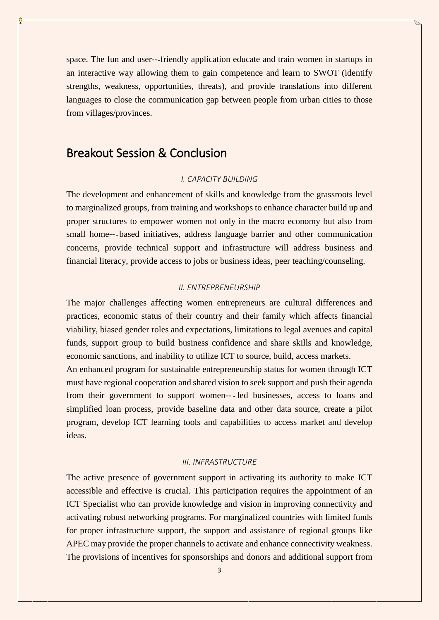space. The fun and user---friendly application educate and train women in startups in an interactive way allowing them to gain competence and learn to SWOT (identify strengths, weakness, opportunities, threats), and provide translations into different languages to close the communication gap between people from urban cities to those from villages/provinces.

### Breakout Session & Conclusion

#### *I. CAPACITY BUILDING*

The development and enhancement of skills and knowledge from the grassroots level to marginalized groups, from training and workshops to enhance character build up and proper structures to empower women not only in the macro economy but also from small home---based initiatives, address language barrier and other communication concerns, provide technical support and infrastructure will address business and financial literacy, provide access to jobs or business ideas, peer teaching/counseling.

#### *II. ENTREPRENEURSHIP*

The major challenges affecting women entrepreneurs are cultural differences and practices, economic status of their country and their family which affects financial viability, biased gender roles and expectations, limitations to legal avenues and capital funds, support group to build business confidence and share skills and knowledge, economic sanctions, and inability to utilize ICT to source, build, access markets.

An enhanced program for sustainable entrepreneurship status for women through ICT must have regional cooperation and shared vision to seek support and push their agenda from their government to support women-- ‐ led businesses, access to loans and simplified loan process, provide baseline data and other data source, create a pilot program, develop ICT learning tools and capabilities to access market and develop ideas.

### *III. INFRASTRUCTURE*

The active presence of government support in activating its authority to make ICT accessible and effective is crucial. This participation requires the appointment of an ICT Specialist who can provide knowledge and vision in improving connectivity and activating robust networking programs. For marginalized countries with limited funds for proper infrastructure support, the support and assistance of regional groups like APEC may provide the proper channels to activate and enhance connectivity weakness. The provisions of incentives for sponsorships and donors and additional support from